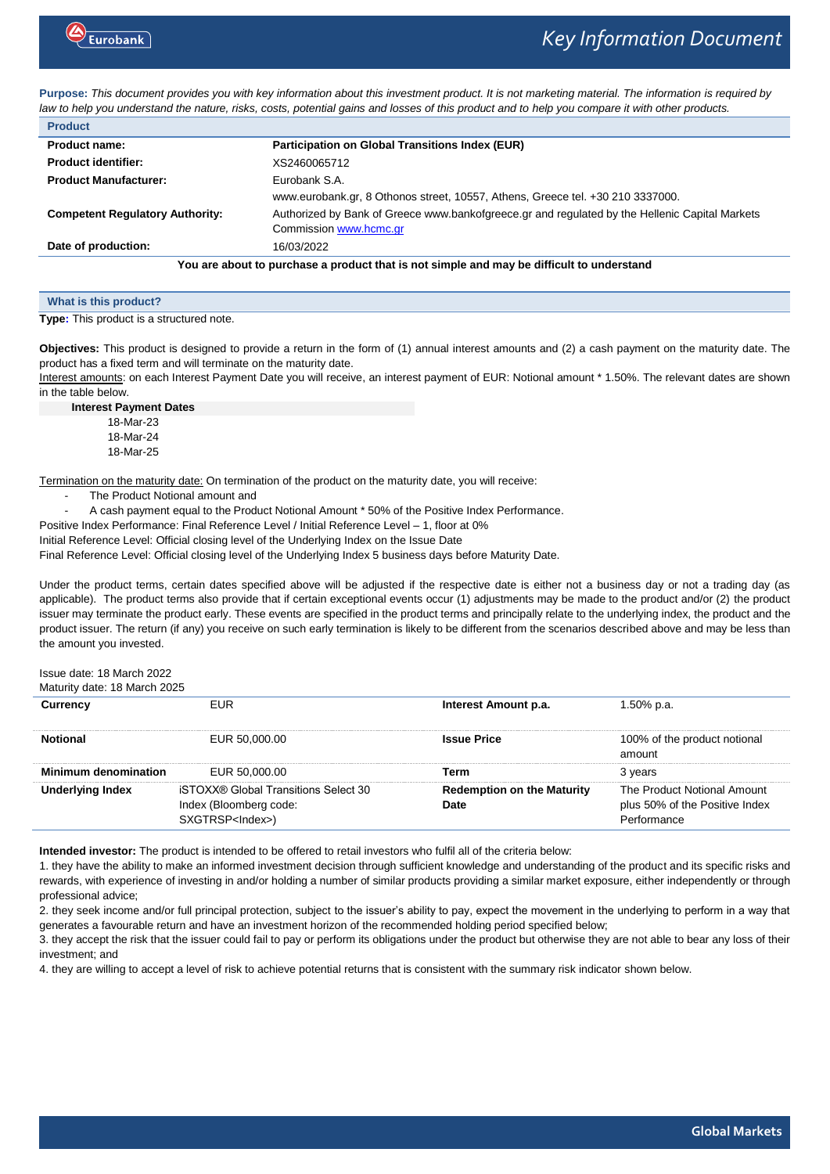

**Purpose:** *This document provides you with key information about this investment product. It is not marketing material. The information is required by law to help you understand the nature, risks, costs, potential gains and losses of this product and to help you compare it with other products.*

| <b>Product</b>                                                                            |                                                                                                |  |
|-------------------------------------------------------------------------------------------|------------------------------------------------------------------------------------------------|--|
| Product name:                                                                             | Participation on Global Transitions Index (EUR)                                                |  |
| <b>Product identifier:</b>                                                                | XS2460065712                                                                                   |  |
| <b>Product Manufacturer:</b>                                                              | Eurobank S.A.                                                                                  |  |
|                                                                                           | www.eurobank.gr, 8 Othonos street, 10557, Athens, Greece tel. +30 210 3337000.                 |  |
| <b>Competent Regulatory Authority:</b>                                                    | Authorized by Bank of Greece www.bankofgreece.gr and regulated by the Hellenic Capital Markets |  |
|                                                                                           | Commission www.hcmc.gr                                                                         |  |
| Date of production:                                                                       | 16/03/2022                                                                                     |  |
| You are about to purchase a product that is not simple and may be difficult to understand |                                                                                                |  |

| What is this product?                    |  |  |
|------------------------------------------|--|--|
| Type: This product is a structured note. |  |  |

**Objectives:** This product is designed to provide a return in the form of (1) annual interest amounts and (2) a cash payment on the maturity date. The product has a fixed term and will terminate on the maturity date.

Interest amounts: on each Interest Payment Date you will receive, an interest payment of EUR: Notional amount \* 1.50%. The relevant dates are shown in the table below.

**Interest Payment Dates** 18-Mar-23 18-Mar-24 18-Mar-25

Termination on the maturity date: On termination of the product on the maturity date, you will receive:

The Product Notional amount and

A cash payment equal to the Product Notional Amount \* 50% of the Positive Index Performance.

Positive Index Performance: Final Reference Level / Initial Reference Level - 1, floor at 0%

Initial Reference Level: Official closing level of the Underlying Index on the Issue Date

Final Reference Level: Official closing level of the Underlying Index 5 business days before Maturity Date.

Under the product terms, certain dates specified above will be adjusted if the respective date is either not a business day or not a trading day (as applicable). The product terms also provide that if certain exceptional events occur (1) adjustments may be made to the product and/or (2) the product issuer may terminate the product early. These events are specified in the product terms and principally relate to the underlying index, the product and the product issuer. The return (if any) you receive on such early termination is likely to be different from the scenarios described above and may be less than the amount you invested.

Issue date: 18 March 2022

Maturity date: 18 March 2025 **Currency** EUR **Interest Amount p.a.** 1.50% p.a. **Notional EUR 50,000.00 ISSUE Price** 100% of the product notional **EUR 50,000.00 ISSUE 200 ISSUE Price** 100% of the product notional amount **Minimum denomination** EUR 50,000.00 **Term** 3 years **Underlying Index** iSTOXX® Global Transitions Select 30 Index (Bloomberg code: SXGTRSP<Index>) **Redemption on the Maturity Date** The Product Notional Amount plus 50% of the Positive Index Performance

**Intended investor:** The product is intended to be offered to retail investors who fulfil all of the criteria below:

1. they have the ability to make an informed investment decision through sufficient knowledge and understanding of the product and its specific risks and rewards, with experience of investing in and/or holding a number of similar products providing a similar market exposure, either independently or through professional advice;

2. they seek income and/or full principal protection, subject to the issuer's ability to pay, expect the movement in the underlying to perform in a way that generates a favourable return and have an investment horizon of the recommended holding period specified below;

3. they accept the risk that the issuer could fail to pay or perform its obligations under the product but otherwise they are not able to bear any loss of their investment; and

4. they are willing to accept a level of risk to achieve potential returns that is consistent with the summary risk indicator shown below.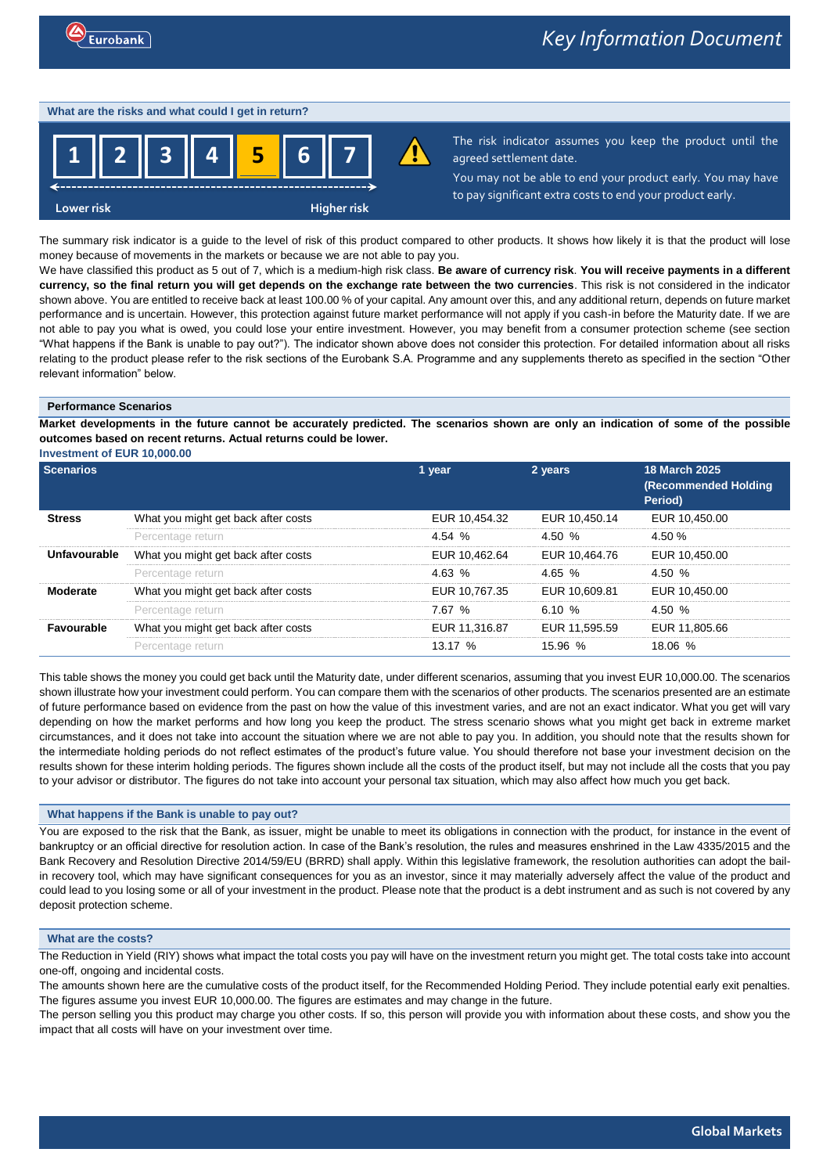### **What are the risks and what could I get in return?**



The risk indicator assumes you keep the product until the agreed settlement date.

You may not be able to end your product early. You may have to pay significant extra costs to end your product early.

The summary risk indicator is a guide to the level of risk of this product compared to other products. It shows how likely it is that the product will lose money because of movements in the markets or because we are not able to pay you.

We have classified this product as 5 out of 7, which is a medium-high risk class. **Be aware of currency risk**. **You will receive payments in a different currency, so the final return you will get depends on the exchange rate between the two currencies**. This risk is not considered in the indicator shown above. You are entitled to receive back at least 100.00 % of your capital. Any amount over this, and any additional return, depends on future market performance and is uncertain. However, this protection against future market performance will not apply if you cash-in before the Maturity date. If we are not able to pay you what is owed, you could lose your entire investment. However, you may benefit from a consumer protection scheme (see section "What happens if the Bank is unable to pay out?"). The indicator shown above does not consider this protection. For detailed information about all risks relating to the product please refer to the risk sections of the Eurobank S.A. Programme and any supplements thereto as specified in the section "Other relevant information" below.

### **Performance Scenarios**

**Market developments in the future cannot be accurately predicted. The scenarios shown are only an indication of some of the possible outcomes based on recent returns. Actual returns could be lower.**

**Investment of EUR 10,000.00**

| <b>Scenarios</b>  |                                     | 1 year        | 2 years       | <b>18 March 2025</b><br><b>(Recommended Holding</b><br>Period) |
|-------------------|-------------------------------------|---------------|---------------|----------------------------------------------------------------|
| Stress            | What you might get back after costs | EUR 10,454.32 | EUR 10.450.14 | EUR 10,450.00                                                  |
|                   | Percentage return                   | 4.54 %        | 4.50 %        | 4.50 %                                                         |
| Unfavourable      | What you might get back after costs | EUR 10.462.64 | EUR 10,464.76 | EUR 10.450.00                                                  |
|                   | Percentage return                   | 4.63%         | 4.65 %        | 4.50 %                                                         |
| Moderate          | What you might get back after costs | EUR 10,767.35 | EUR 10.609.81 | EUR 10.450.00                                                  |
|                   | Percentage return                   | 7.67%         | 6.10 %        | 4.50 %                                                         |
| <b>Favourable</b> | What you might get back after costs | EUR 11.316.87 | EUR 11.595.59 | EUR 11.805.66                                                  |
|                   | Percentage return                   | 13.17 %       | 15.96.%       | 18.06 %                                                        |

This table shows the money you could get back until the Maturity date, under different scenarios, assuming that you invest EUR 10,000.00. The scenarios shown illustrate how your investment could perform. You can compare them with the scenarios of other products. The scenarios presented are an estimate of future performance based on evidence from the past on how the value of this investment varies, and are not an exact indicator. What you get will vary depending on how the market performs and how long you keep the product. The stress scenario shows what you might get back in extreme market circumstances, and it does not take into account the situation where we are not able to pay you. In addition, you should note that the results shown for the intermediate holding periods do not reflect estimates of the product's future value. You should therefore not base your investment decision on the results shown for these interim holding periods. The figures shown include all the costs of the product itself, but may not include all the costs that you pay to your advisor or distributor. The figures do not take into account your personal tax situation, which may also affect how much you get back.

# **What happens if the Bank is unable to pay out?**

You are exposed to the risk that the Bank, as issuer, might be unable to meet its obligations in connection with the product, for instance in the event of bankruptcy or an official directive for resolution action. In case of the Bank's resolution, the rules and measures enshrined in the Law 4335/2015 and the Bank Recovery and Resolution Directive 2014/59/EU (BRRD) shall apply. Within this legislative framework, the resolution authorities can adopt the bailin recovery tool, which may have significant consequences for you as an investor, since it may materially adversely affect the value of the product and could lead to you losing some or all of your investment in the product. Please note that the product is a debt instrument and as such is not covered by any deposit protection scheme.

# **What are the costs?**

The Reduction in Yield (RIY) shows what impact the total costs you pay will have on the investment return you might get. The total costs take into account one-off, ongoing and incidental costs.

The amounts shown here are the cumulative costs of the product itself, for the Recommended Holding Period. They include potential early exit penalties. The figures assume you invest EUR 10,000.00. The figures are estimates and may change in the future.

The person selling you this product may charge you other costs. If so, this person will provide you with information about these costs, and show you the impact that all costs will have on your investment over time.